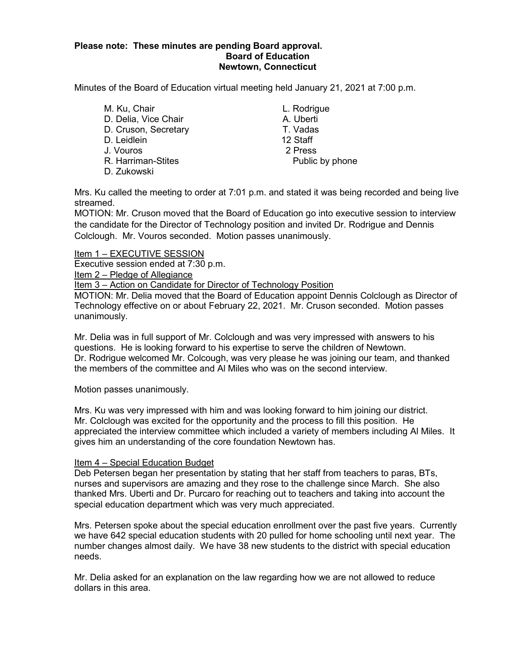#### **Please note: These minutes are pending Board approval. Board of Education Newtown, Connecticut**

Minutes of the Board of Education virtual meeting held January 21, 2021 at 7:00 p.m.

M. Ku, Chair **M. Ku, Chair** L. Rodrigue D. Delia, Vice Chair **A.** Uberti D. Cruson, Secretary T. Vadas D. Leidlein 12 Staff J. Vouros 2 Press R. Harriman-Stites **Public by phone** D. Zukowski

Mrs. Ku called the meeting to order at 7:01 p.m. and stated it was being recorded and being live streamed.

MOTION: Mr. Cruson moved that the Board of Education go into executive session to interview the candidate for the Director of Technology position and invited Dr. Rodrigue and Dennis Colclough. Mr. Vouros seconded. Motion passes unanimously.

Item 1 – EXECUTIVE SESSION Executive session ended at 7:30 p.m. Item 2 – Pledge of Allegiance Item 3 – Action on Candidate for Director of Technology Position

MOTION: Mr. Delia moved that the Board of Education appoint Dennis Colclough as Director of Technology effective on or about February 22, 2021. Mr. Cruson seconded. Motion passes unanimously.

Mr. Delia was in full support of Mr. Colclough and was very impressed with answers to his questions. He is looking forward to his expertise to serve the children of Newtown. Dr. Rodrigue welcomed Mr. Colcough, was very please he was joining our team, and thanked the members of the committee and Al Miles who was on the second interview.

Motion passes unanimously.

Mrs. Ku was very impressed with him and was looking forward to him joining our district. Mr. Colclough was excited for the opportunity and the process to fill this position. He appreciated the interview committee which included a variety of members including Al Miles. It gives him an understanding of the core foundation Newtown has.

#### Item 4 – Special Education Budget

Deb Petersen began her presentation by stating that her staff from teachers to paras, BTs, nurses and supervisors are amazing and they rose to the challenge since March. She also thanked Mrs. Uberti and Dr. Purcaro for reaching out to teachers and taking into account the special education department which was very much appreciated.

Mrs. Petersen spoke about the special education enrollment over the past five years. Currently we have 642 special education students with 20 pulled for home schooling until next year. The number changes almost daily. We have 38 new students to the district with special education needs.

Mr. Delia asked for an explanation on the law regarding how we are not allowed to reduce dollars in this area.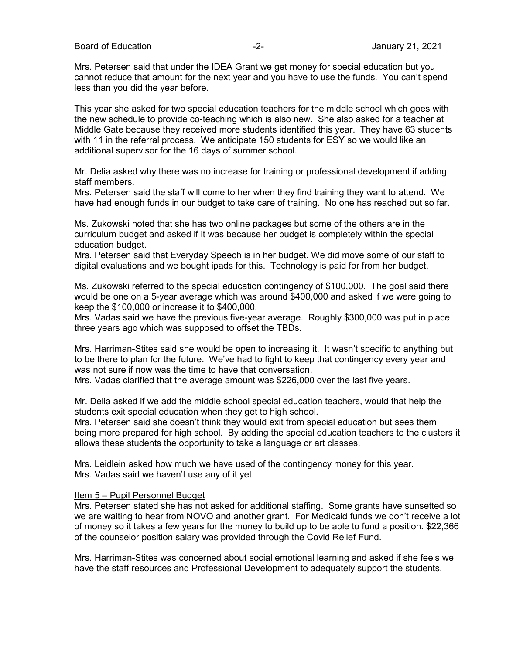Mrs. Petersen said that under the IDEA Grant we get money for special education but you cannot reduce that amount for the next year and you have to use the funds. You can't spend less than you did the year before.

This year she asked for two special education teachers for the middle school which goes with the new schedule to provide co-teaching which is also new. She also asked for a teacher at Middle Gate because they received more students identified this year. They have 63 students with 11 in the referral process. We anticipate 150 students for ESY so we would like an additional supervisor for the 16 days of summer school.

Mr. Delia asked why there was no increase for training or professional development if adding staff members.

Mrs. Petersen said the staff will come to her when they find training they want to attend. We have had enough funds in our budget to take care of training. No one has reached out so far.

Ms. Zukowski noted that she has two online packages but some of the others are in the curriculum budget and asked if it was because her budget is completely within the special education budget.

Mrs. Petersen said that Everyday Speech is in her budget. We did move some of our staff to digital evaluations and we bought ipads for this. Technology is paid for from her budget.

Ms. Zukowski referred to the special education contingency of \$100,000. The goal said there would be one on a 5-year average which was around \$400,000 and asked if we were going to keep the \$100,000 or increase it to \$400,000.

Mrs. Vadas said we have the previous five-year average. Roughly \$300,000 was put in place three years ago which was supposed to offset the TBDs.

Mrs. Harriman-Stites said she would be open to increasing it. It wasn't specific to anything but to be there to plan for the future. We've had to fight to keep that contingency every year and was not sure if now was the time to have that conversation.

Mrs. Vadas clarified that the average amount was \$226,000 over the last five years.

Mr. Delia asked if we add the middle school special education teachers, would that help the students exit special education when they get to high school.

Mrs. Petersen said she doesn't think they would exit from special education but sees them being more prepared for high school. By adding the special education teachers to the clusters it allows these students the opportunity to take a language or art classes.

Mrs. Leidlein asked how much we have used of the contingency money for this year. Mrs. Vadas said we haven't use any of it yet.

#### Item 5 – Pupil Personnel Budget

Mrs. Petersen stated she has not asked for additional staffing. Some grants have sunsetted so we are waiting to hear from NOVO and another grant. For Medicaid funds we don't receive a lot of money so it takes a few years for the money to build up to be able to fund a position. \$22,366 of the counselor position salary was provided through the Covid Relief Fund.

Mrs. Harriman-Stites was concerned about social emotional learning and asked if she feels we have the staff resources and Professional Development to adequately support the students.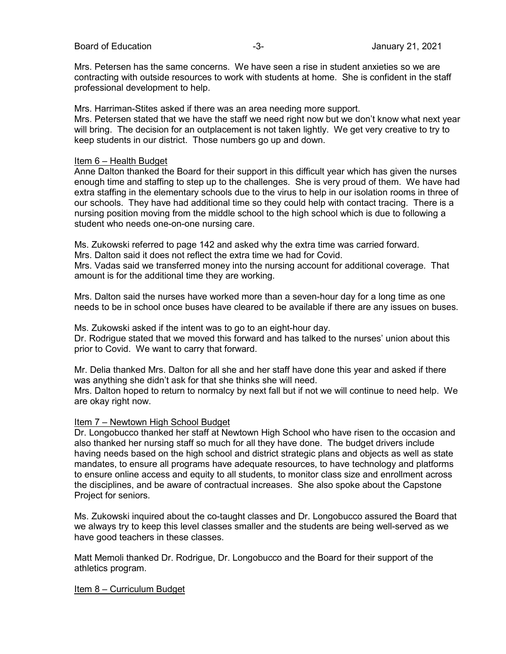Board of Education **Contract Contract Contract Contract Contract Contract Contract Contract Contract Contract Contract Contract Contract Contract Contract Contract Contract Contract Contract Contract Contract Contract Cont** 

Mrs. Petersen has the same concerns. We have seen a rise in student anxieties so we are contracting with outside resources to work with students at home. She is confident in the staff professional development to help.

Mrs. Harriman-Stites asked if there was an area needing more support.

Mrs. Petersen stated that we have the staff we need right now but we don't know what next year will bring. The decision for an outplacement is not taken lightly. We get very creative to try to keep students in our district. Those numbers go up and down.

#### Item 6 – Health Budget

Anne Dalton thanked the Board for their support in this difficult year which has given the nurses enough time and staffing to step up to the challenges. She is very proud of them. We have had extra staffing in the elementary schools due to the virus to help in our isolation rooms in three of our schools. They have had additional time so they could help with contact tracing. There is a nursing position moving from the middle school to the high school which is due to following a student who needs one-on-one nursing care.

Ms. Zukowski referred to page 142 and asked why the extra time was carried forward. Mrs. Dalton said it does not reflect the extra time we had for Covid.

Mrs. Vadas said we transferred money into the nursing account for additional coverage. That amount is for the additional time they are working.

Mrs. Dalton said the nurses have worked more than a seven-hour day for a long time as one needs to be in school once buses have cleared to be available if there are any issues on buses.

Ms. Zukowski asked if the intent was to go to an eight-hour day. Dr. Rodrigue stated that we moved this forward and has talked to the nurses' union about this prior to Covid. We want to carry that forward.

Mr. Delia thanked Mrs. Dalton for all she and her staff have done this year and asked if there was anything she didn't ask for that she thinks she will need.

Mrs. Dalton hoped to return to normalcy by next fall but if not we will continue to need help. We are okay right now.

#### Item 7 – Newtown High School Budget

Dr. Longobucco thanked her staff at Newtown High School who have risen to the occasion and also thanked her nursing staff so much for all they have done. The budget drivers include having needs based on the high school and district strategic plans and objects as well as state mandates, to ensure all programs have adequate resources, to have technology and platforms to ensure online access and equity to all students, to monitor class size and enrollment across the disciplines, and be aware of contractual increases. She also spoke about the Capstone Project for seniors.

Ms. Zukowski inquired about the co-taught classes and Dr. Longobucco assured the Board that we always try to keep this level classes smaller and the students are being well-served as we have good teachers in these classes.

Matt Memoli thanked Dr. Rodrigue, Dr. Longobucco and the Board for their support of the athletics program.

#### Item 8 – Curriculum Budget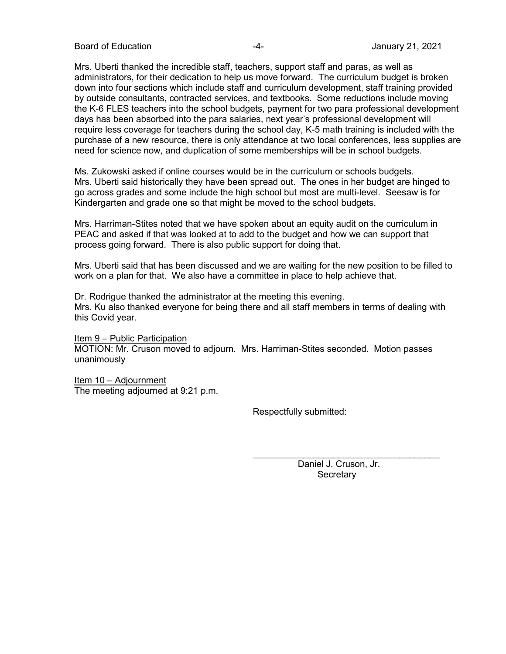Board of Education **-4-** Figure 21, 2021

Mrs. Uberti thanked the incredible staff, teachers, support staff and paras, as well as administrators, for their dedication to help us move forward. The curriculum budget is broken down into four sections which include staff and curriculum development, staff training provided by outside consultants, contracted services, and textbooks. Some reductions include moving the K-6 FLES teachers into the school budgets, payment for two para professional development days has been absorbed into the para salaries, next year's professional development will require less coverage for teachers during the school day, K-5 math training is included with the purchase of a new resource, there is only attendance at two local conferences, less supplies are need for science now, and duplication of some memberships will be in school budgets.

Ms. Zukowski asked if online courses would be in the curriculum or schools budgets. Mrs. Uberti said historically they have been spread out. The ones in her budget are hinged to go across grades and some include the high school but most are multi-level. Seesaw is for Kindergarten and grade one so that might be moved to the school budgets.

Mrs. Harriman-Stites noted that we have spoken about an equity audit on the curriculum in PEAC and asked if that was looked at to add to the budget and how we can support that process going forward. There is also public support for doing that.

Mrs. Uberti said that has been discussed and we are waiting for the new position to be filled to work on a plan for that. We also have a committee in place to help achieve that.

Dr. Rodrigue thanked the administrator at the meeting this evening. Mrs. Ku also thanked everyone for being there and all staff members in terms of dealing with this Covid year.

Item 9 – Public Participation MOTION: Mr. Cruson moved to adjourn. Mrs. Harriman-Stites seconded. Motion passes unanimously

Item 10 – Adjournment The meeting adjourned at 9:21 p.m.

Respectfully submitted:

 Daniel J. Cruson, Jr. **Secretary** 

 $\mathcal{L}_\text{max}$  and  $\mathcal{L}_\text{max}$  and  $\mathcal{L}_\text{max}$  and  $\mathcal{L}_\text{max}$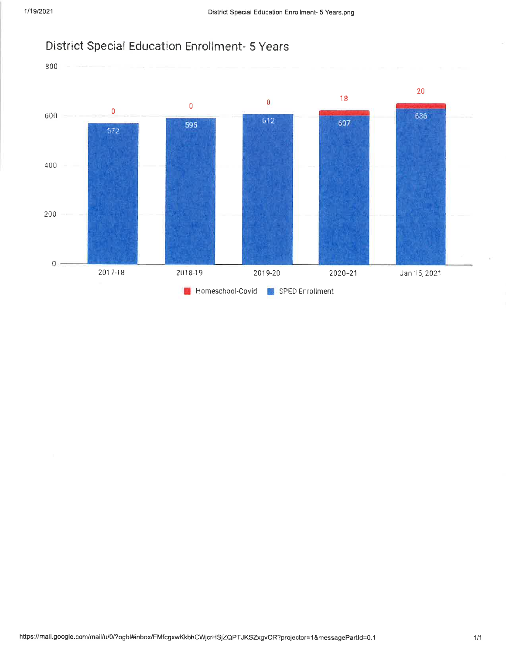

#### https://mail.google.com/mail/u/0/?ogbl#inbox/FMfcgxwKkbhCWjcrHSjZQPTJKSZxgvCR?projector=1&messagePartId=0.1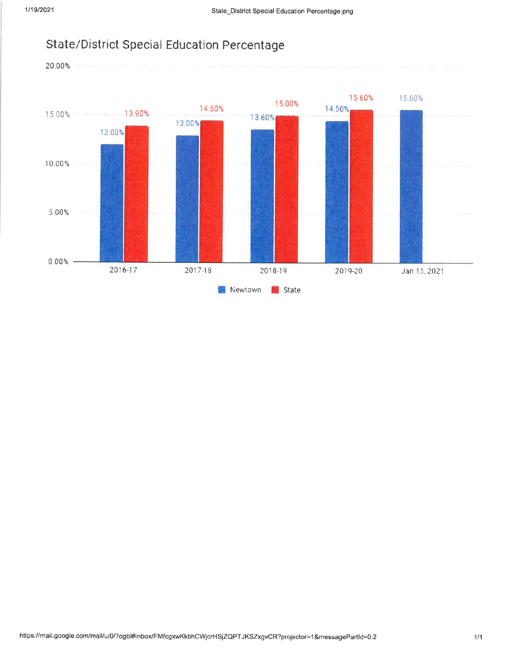

#### State/District Special Education Percentage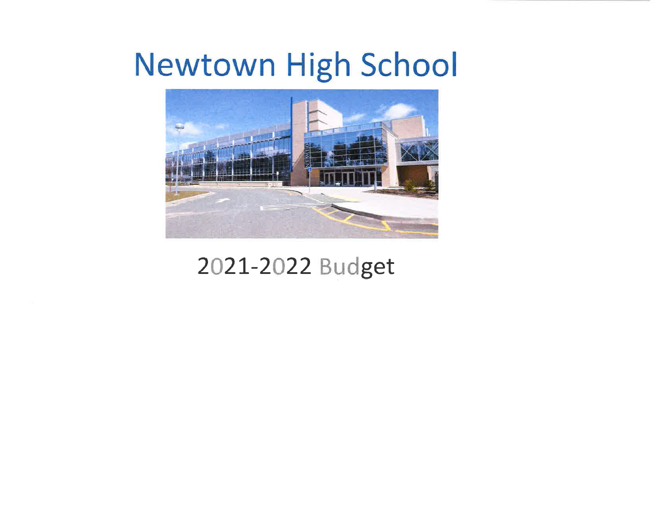## **Newtown High School**



#### 2021-2022 Budget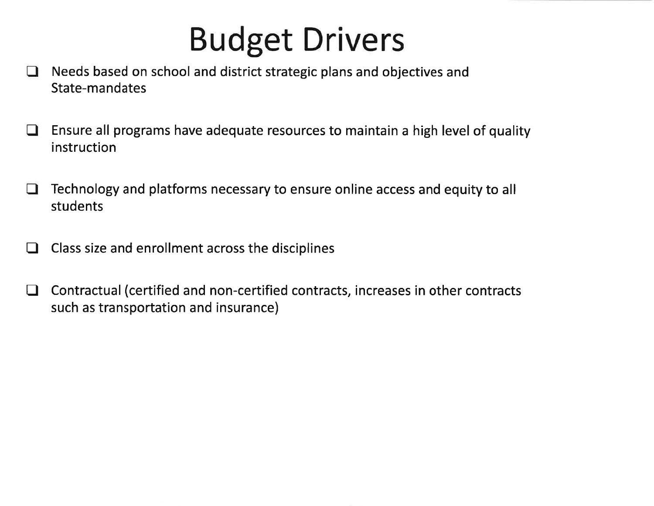# **Budget Drivers**

- Needs based on school and district strategic plans and objectives and  $\Box$ State-mandates
- Ensure all programs have adequate resources to maintain a high level of quality  $\Box$ instruction
- Technology and platforms necessary to ensure online access and equity to all  $\Box$ students
- Class size and enrollment across the disciplines  $\Box$
- Contractual (certified and non-certified contracts, increases in other contracts  $\Box$ such as transportation and insurance)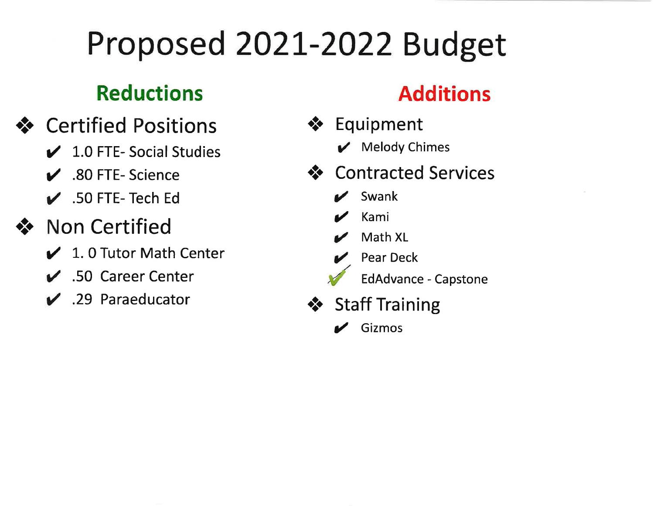# Proposed 2021-2022 Budget

#### **Reductions**

- ❖ Certified Positions
	- $\angle$  1.0 FTE-Social Studies
	- $\overline{\smash{\bigtriangledown}}$  .80 FTE-Science
	- $\overline{\smash{\bigtriangledown}}$  .50 FTE-Tech Ed
- **Non Certified** 
	- ✔ 1.0 Tutor Math Center
	- $\overline{\smash{\checkmark}}$  .50 Career Center
	- $\vee$  .29 Paraeducator

### **Additions**

- ❖ Equipment
	- $\boldsymbol{\mathcal{V}}$  Melody Chimes
- ❖ Contracted Services
	- Swank
	- Kami
	- Math XL
	- **Pear Deck** 
		- **EdAdvance Capstone**
- ❖ Staff Training
	- $\mathcal{L}$  Gizmos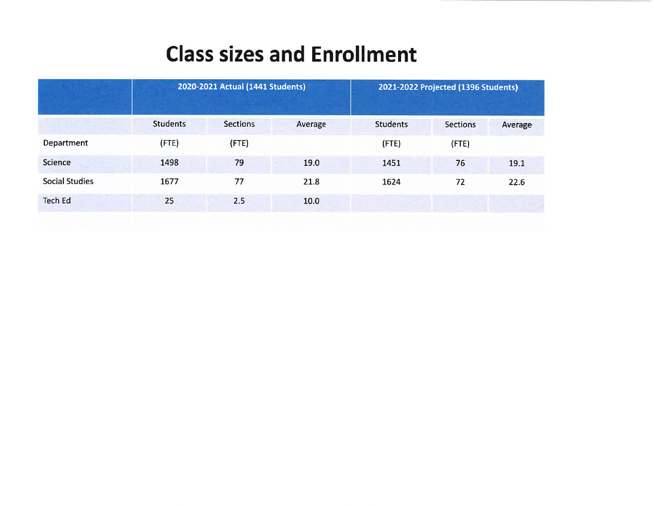#### **Class sizes and Enrollment**

|                       | 2020-2021 Actual (1441 Students) |                 |         | 2021-2022 Projected (1396 Students) |                 |         |
|-----------------------|----------------------------------|-----------------|---------|-------------------------------------|-----------------|---------|
|                       | <b>Students</b>                  | <b>Sections</b> | Average | <b>Students</b>                     | <b>Sections</b> | Average |
| Department            | $($ FTE $)$                      | $($ FTE $)$     |         | $($ FTE $)$                         | (FTE)           |         |
| Science               | 1498                             | 79              | 19.0    | 1451                                | 76              | 19.1    |
| <b>Social Studies</b> | 1677                             | 77              | 21.8    | 1624                                | 72              | 22.6    |
| <b>Tech Ed</b>        | 25                               | 2.5             | 10.0    |                                     |                 |         |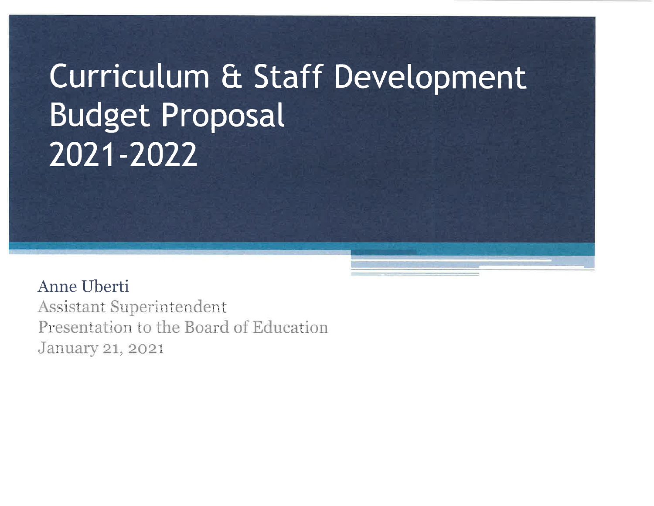# Curriculum & Staff Development **Budget Proposal** 2021-2022

Anne Uberti

**Assistant Superintendent** Presentation to the Board of Education January 21, 2021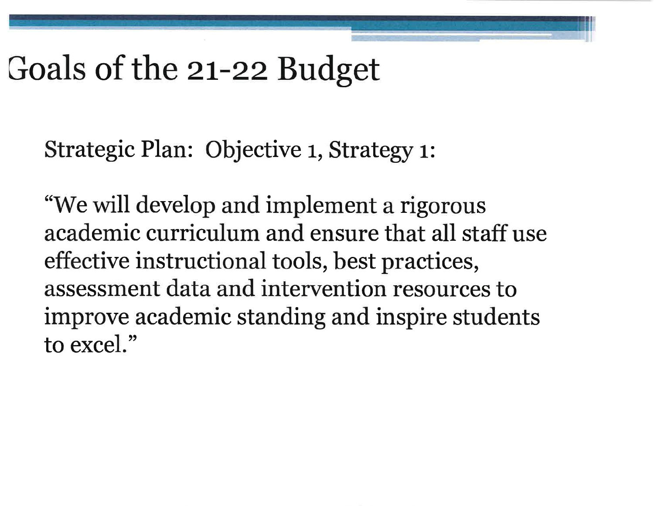## Goals of the 21-22 Budget

Strategic Plan: Objective 1, Strategy 1:

"We will develop and implement a rigorous academic curriculum and ensure that all staff use effective instructional tools, best practices, assessment data and intervention resources to improve academic standing and inspire students to excel."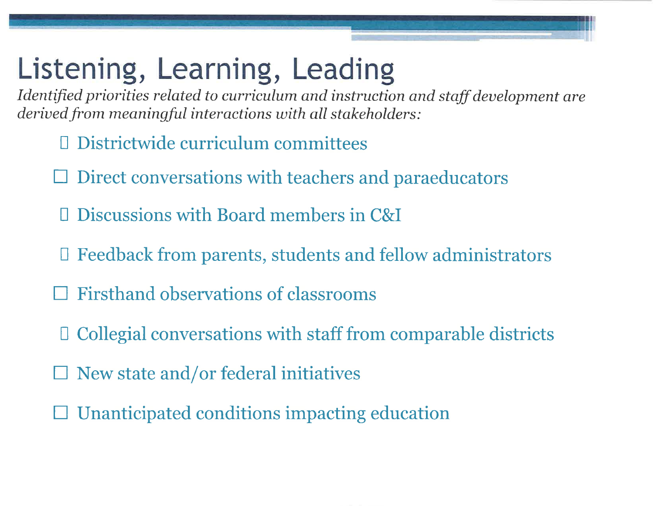## Listening, Learning, Leading

Identified priorities related to curriculum and instruction and staff development are derived from meaningful interactions with all stakeholders:

- **Districtwide curriculum committees**
- Direct conversations with teachers and paraeducators
- D Discussions with Board members in C&I
- □ Feedback from parents, students and fellow administrators
- **Firsthand observations of classrooms**
- $\Box$  Collegial conversations with staff from comparable districts
- $\Box$  New state and/or federal initiatives
- Unanticipated conditions impacting education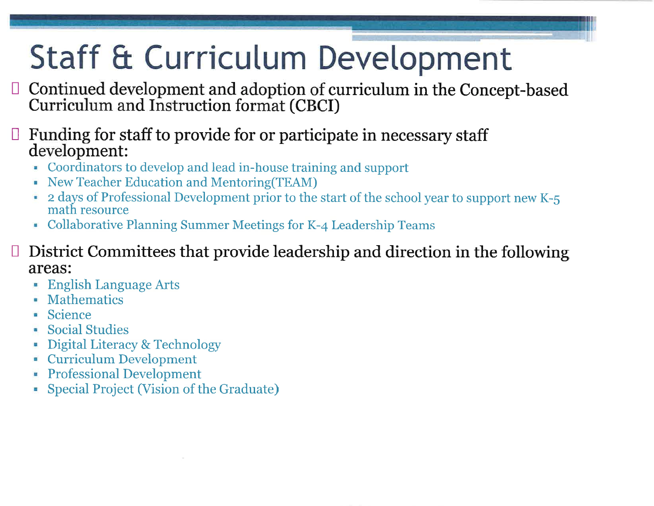# Staff & Curriculum Development

- Continued development and adoption of curriculum in the Concept-based Curriculum and Instruction format (CBCI)
- $\Box$  Funding for staff to provide for or participate in necessary staff development:
	- Coordinators to develop and lead in-house training and support
	- New Teacher Education and Mentoring (TEAM)
	- 2 days of Professional Development prior to the start of the school year to support new K-5 math resource
	- Collaborative Planning Summer Meetings for K-4 Leadership Teams
- District Committees that provide leadership and direction in the following areas:
	- **English Language Arts**
	- Mathematics
	- Science
	- **Social Studies**
	- Digital Literacy & Technology
	- **Curriculum Development**
	- **Professional Development**
	- Special Project (Vision of the Graduate)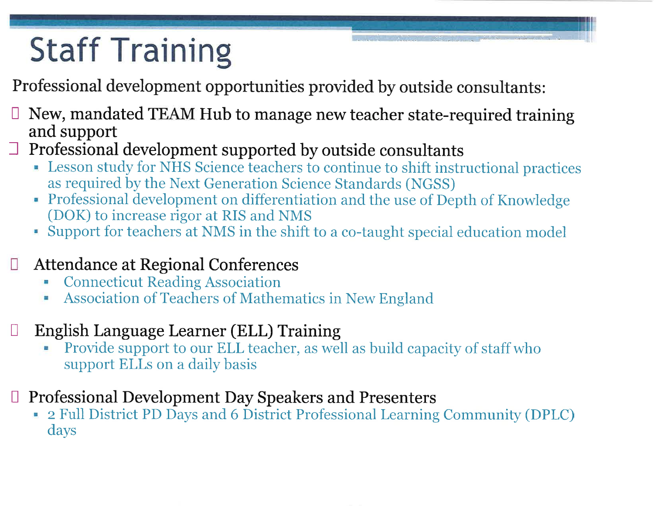# **Staff Training**

Professional development opportunities provided by outside consultants:

- New, mandated TEAM Hub to manage new teacher state-required training and support
- $\Box$  Professional development supported by outside consultants
	- Lesson study for NHS Science teachers to continue to shift instructional practices as required by the Next Generation Science Standards (NGSS)
	- Professional development on differentiation and the use of Depth of Knowledge (DOK) to increase rigor at RIS and NMS
	- Support for teachers at NMS in the shift to a co-taught special education model
- **Attendance at Regional Conferences** U
	- **Connecticut Reading Association** Ξ
	- Association of Teachers of Mathematics in New England
- English Language Learner (ELL) Training
	- Provide support to our ELL teacher, as well as build capacity of staff who support ELLs on a daily basis
- □ Professional Development Day Speakers and Presenters
	- 2 Full District PD Days and 6 District Professional Learning Community (DPLC) days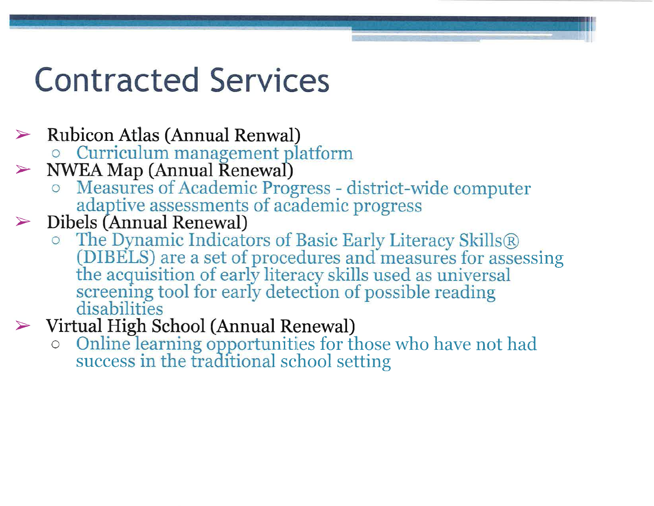## **Contracted Services**

- $\triangleright$  Rubicon Atlas (Annual Renwal)
	- **O** Curriculum management platform
- $>$  NWEA Map (Annual Renewal)
	- O Measures of Academic Progress district-wide computer adaptive assessments of academic progress
- $\triangleright$  Dibels (Annual Renewal)
	- $\circ$  The Dynamic Indicators of Basic Early Literacy Skills  $\mathbb R$ (DIBELS) are a set of procedures and measures for assessing the acquisition of early literacy skills used as universal screening tool for early detection of possible reading disabilities
- $\triangleright$  Virtual High School (Annual Renewal)
	- Online learning opportunities for those who have not had  $\bigcirc$ success in the traditional school setting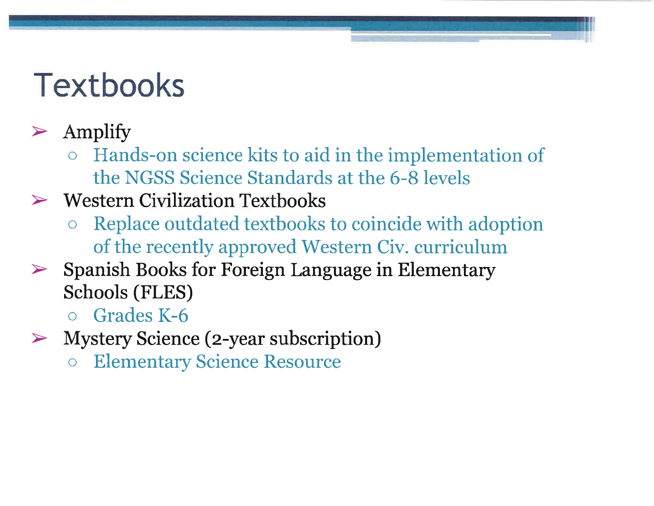## **Textbooks**

#### Amplify  $\blacktriangleright$

Hands-on science kits to aid in the implementation of  $\overline{O}$ the NGSS Science Standards at the 6-8 levels

#### $\triangleright$  Western Civilization Textbooks

- Replace outdated textbooks to coincide with adoption of the recently approved Western Civ. curriculum
- $\triangleright$  Spanish Books for Foreign Language in Elementary **Schools (FLES)** 
	- $\circ$  Grades K-6
- $\triangleright$  Mystery Science (2-year subscription)
	- **Elementary Science Resource**  $\overline{O}$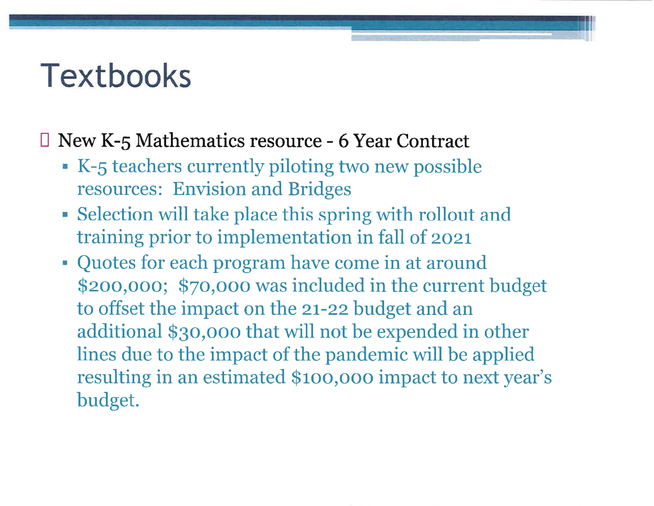## **Textbooks**

#### $\Box$  New K-5 Mathematics resource - 6 Year Contract

- K-5 teachers currently piloting two new possible resources: Envision and Bridges
- Selection will take place this spring with rollout and training prior to implementation in fall of 2021
- Quotes for each program have come in at around \$200,000; \$70,000 was included in the current budget to offset the impact on the 21-22 budget and an additional \$30,000 that will not be expended in other lines due to the impact of the pandemic will be applied resulting in an estimated \$100,000 impact to next year's budget.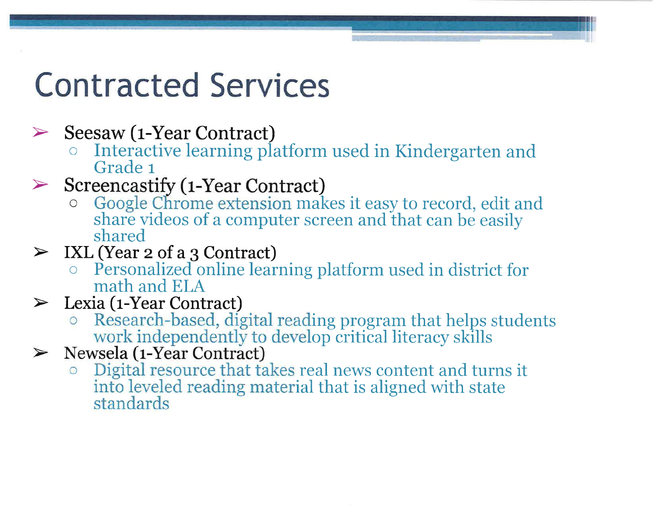## **Contracted Services**

Seesaw (1-Year Contract)  $\blacktriangleright$ 

- Interactive learning platform used in Kindergarten and Grade 1
- $\triangleright$  Screencastify (1-Year Contract)
	- Google Chrome extension makes it easy to record, edit and  $\bigcirc$ share videos of a computer screen and that can be easily shared
- $\triangleright$  IXL (Year 2 of a 3 Contract)
	- **Example 2** Personalized online learning platform used in district for math and ELA
- Lexia (1-Year Contract)  $\blacktriangleright$ 
	- Research-based, digital reading program that helps students work independently to develop critical literacy skills
- $\triangleright$  Newsela (1-Year Contract)
	- Digital resource that takes real news content and turns it  $\circ$ into leveled reading material that is aligned with state standards